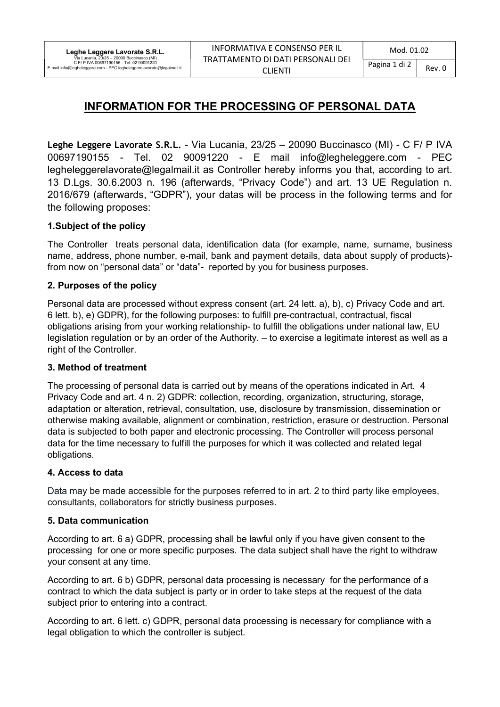# INFORMATION FOR THE PROCESSING OF PERSONAL DATA

Leghe Leggere Lavorate S.R.L. - Via Lucania, 23/25 – 20090 Buccinasco (MI) - C F/ P IVA 00697190155 - Tel. 02 90091220 - E mail info@legheleggere.com - PEC legheleggerelavorate@legalmail.it as Controller hereby informs you that, according to art. 13 D.Lgs. 30.6.2003 n. 196 (afterwards, "Privacy Code") and art. 13 UE Regulation n. 2016/679 (afterwards, "GDPR"), your datas will be process in the following terms and for the following proposes:

### 1.Subject of the policy

The Controller treats personal data, identification data (for example, name, surname, business name, address, phone number, e-mail, bank and payment details, data about supply of products) from now on "personal data" or "data"- reported by you for business purposes.

## 2. Purposes of the policy

Personal data are processed without express consent (art. 24 lett. a), b), c) Privacy Code and art. 6 lett. b), e) GDPR), for the following purposes: to fulfill pre-contractual, contractual, fiscal obligations arising from your working relationship- to fulfill the obligations under national law, EU legislation regulation or by an order of the Authority. – to exercise a legitimate interest as well as a right of the Controller.

### 3. Method of treatment

The processing of personal data is carried out by means of the operations indicated in Art. 4 Privacy Code and art. 4 n. 2) GDPR: collection, recording, organization, structuring, storage, adaptation or alteration, retrieval, consultation, use, disclosure by transmission, dissemination or otherwise making available, alignment or combination, restriction, erasure or destruction. Personal data is subjected to both paper and electronic processing. The Controller will process personal data for the time necessary to fulfill the purposes for which it was collected and related legal obligations.

### 4. Access to data

Data may be made accessible for the purposes referred to in art. 2 to third party like employees, consultants, collaborators for strictly business purposes.

### 5. Data communication

According to art. 6 a) GDPR, processing shall be lawful only if you have given consent to the processing for one or more specific purposes. The data subject shall have the right to withdraw your consent at any time.

According to art. 6 b) GDPR, personal data processing is necessary for the performance of a contract to which the data subject is party or in order to take steps at the request of the data subject prior to entering into a contract.

According to art. 6 lett. c) GDPR, personal data processing is necessary for compliance with a legal obligation to which the controller is subject.